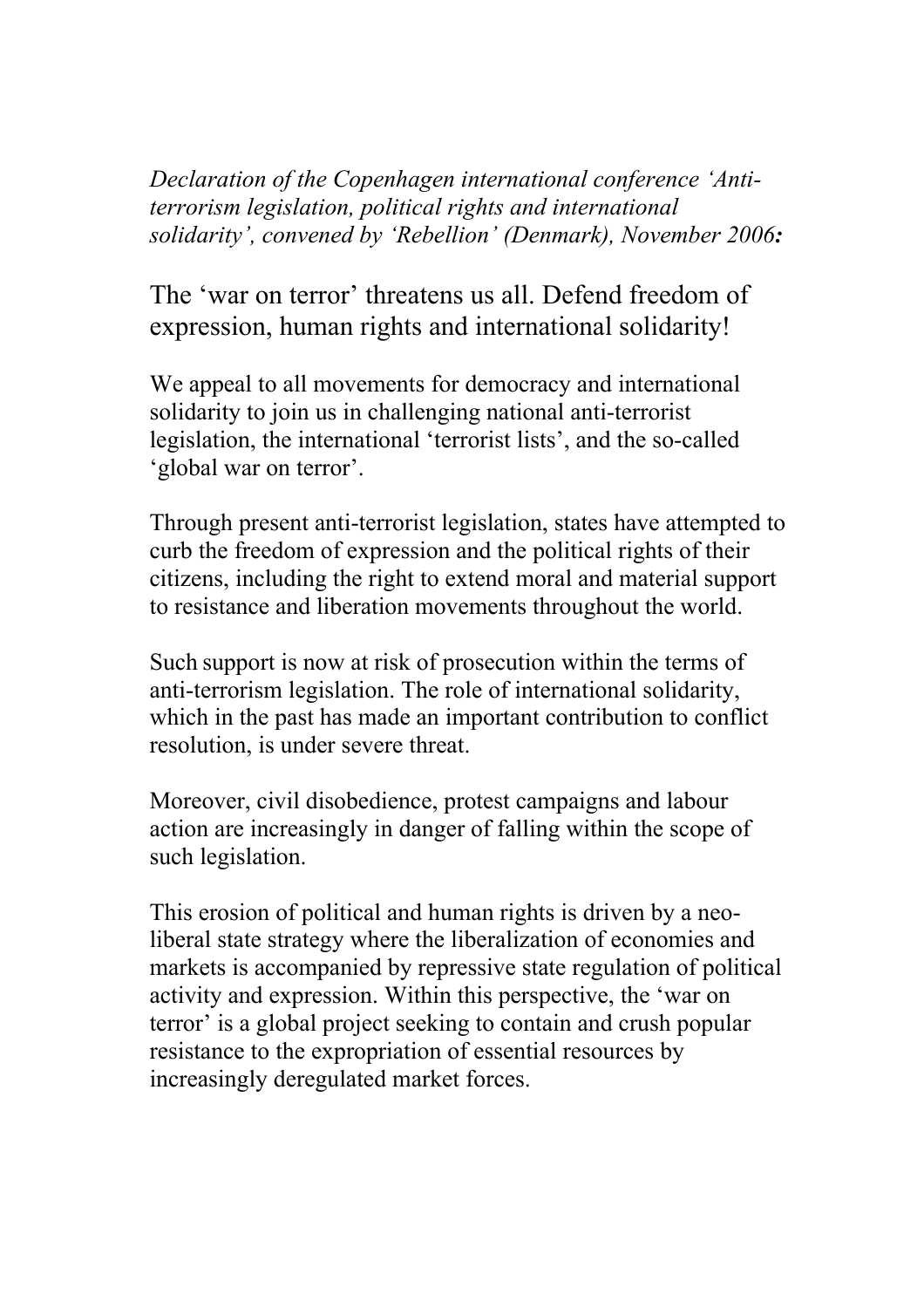*Declaration of the Copenhagen international conference 'Antiterrorism legislation, political rights and international solidarity', convened by 'Rebellion' (Denmark), November 2006:*

The 'war on terror' threatens us all. Defend freedom of expression, human rights and international solidarity!

We appeal to all movements for democracy and international solidarity to join us in challenging national anti-terrorist legislation, the international 'terrorist lists', and the so-called 'global war on terror'.

Through present anti-terrorist legislation, states have attempted to curb the freedom of expression and the political rights of their citizens, including the right to extend moral and material support to resistance and liberation movements throughout the world.

Such support is now at risk of prosecution within the terms of anti-terrorism legislation. The role of international solidarity, which in the past has made an important contribution to conflict resolution, is under severe threat.

Moreover, civil disobedience, protest campaigns and labour action are increasingly in danger of falling within the scope of such legislation.

This erosion of political and human rights is driven by a neoliberal state strategy where the liberalization of economies and markets is accompanied by repressive state regulation of political activity and expression. Within this perspective, the 'war on terror' is a global project seeking to contain and crush popular resistance to the expropriation of essential resources by increasingly deregulated market forces.